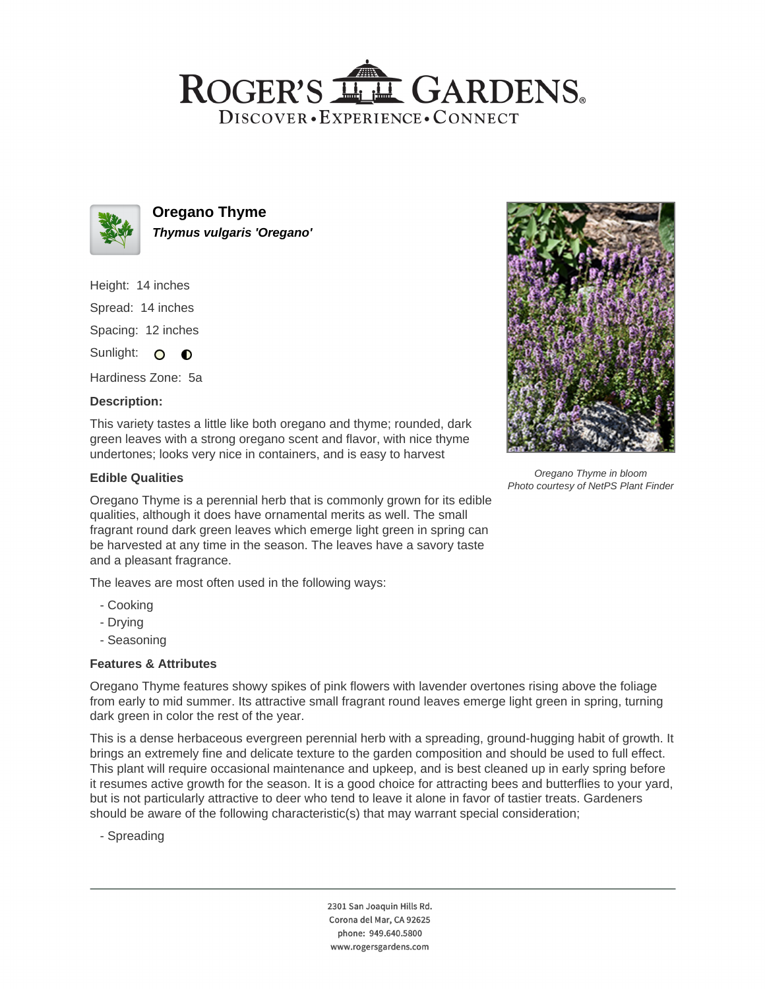# ROGER'S LL GARDENS. DISCOVER · EXPERIENCE · CONNECT



**Oregano Thyme Thymus vulgaris 'Oregano'**

Height: 14 inches

Spread: 14 inches

Spacing: 12 inches

Sunlight: O  $\bullet$ 

Hardiness Zone: 5a

## **Description:**

This variety tastes a little like both oregano and thyme; rounded, dark green leaves with a strong oregano scent and flavor, with nice thyme undertones; looks very nice in containers, and is easy to harvest

## **Edible Qualities**

Oregano Thyme is a perennial herb that is commonly grown for its edible qualities, although it does have ornamental merits as well. The small fragrant round dark green leaves which emerge light green in spring can be harvested at any time in the season. The leaves have a savory taste and a pleasant fragrance.

The leaves are most often used in the following ways:

- Cooking
- Drying
- Seasoning

### **Features & Attributes**

Oregano Thyme features showy spikes of pink flowers with lavender overtones rising above the foliage from early to mid summer. Its attractive small fragrant round leaves emerge light green in spring, turning dark green in color the rest of the year.

This is a dense herbaceous evergreen perennial herb with a spreading, ground-hugging habit of growth. It brings an extremely fine and delicate texture to the garden composition and should be used to full effect. This plant will require occasional maintenance and upkeep, and is best cleaned up in early spring before it resumes active growth for the season. It is a good choice for attracting bees and butterflies to your yard, but is not particularly attractive to deer who tend to leave it alone in favor of tastier treats. Gardeners should be aware of the following characteristic(s) that may warrant special consideration;

- Spreading

2301 San Joaquin Hills Rd. Corona del Mar, CA 92625 phone: 949.640.5800 www.rogersgardens.com



Oregano Thyme in bloom Photo courtesy of NetPS Plant Finder